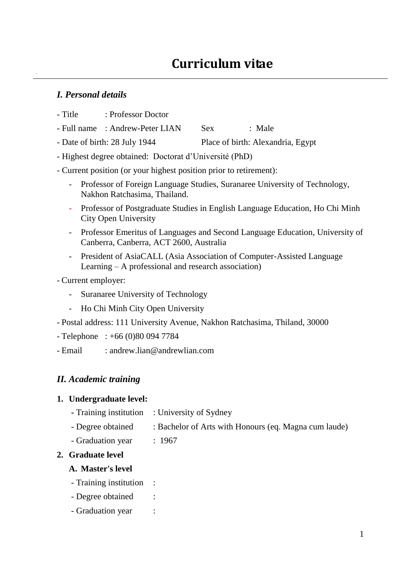## *I. Personal details*

- Title : Professor Doctor
- Full name : Andrew-Peter LIAN Sex : Male
- Date of birth: 28 July 1944 Place of birth: Alexandria, Egypt
- Highest degree obtained: Doctorat d'Université (PhD)

### - Current position (or your highest position prior to retirement):

- Professor of Foreign Language Studies, Suranaree University of Technology, Nakhon Ratchasima, Thailand.
- Professor of Postgraduate Studies in English Language Education, Ho Chi Minh City Open University
- Professor Emeritus of Languages and Second Language Education, University of Canberra, Canberra, ACT 2600, Australia
- President of AsiaCALL (Asia Association of Computer-Assisted Language Learning – A professional and research association)

- Current employer:

- Suranaree University of Technology
- Ho Chi Minh City Open University
- Postal address: 111 University Avenue, Nakhon Ratchasima, Thiland, 30000
- Telephone : +66 (0)80 094 7784

- Email : andrew.lian@andrewlian.com

## *II. Academic training*

### **1. Undergraduate level:**

- **-** Training institution : University of Sydney
- Degree obtained : Bachelor of Arts with Honours (eq. Magna cum laude)
- Graduation year : 1967

### **2. Graduate level**

### **A. Master's level**

- Training institution :
- Degree obtained :
- Graduation year :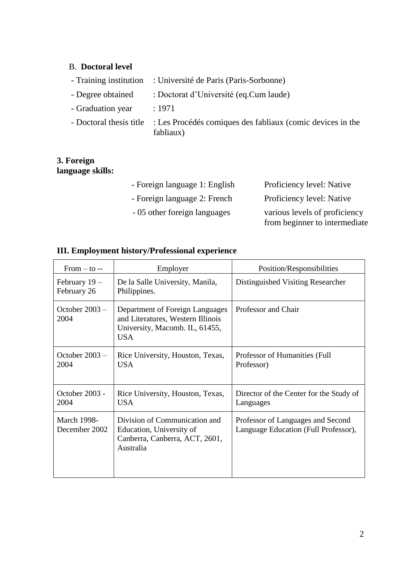# B. **Doctoral level**

|                   | - Training institution : Université de Paris (Paris-Sorbonne)                                   |
|-------------------|-------------------------------------------------------------------------------------------------|
| - Degree obtained | : Doctorat d'Université (eq.Cum laude)                                                          |
| - Graduation year | : 1971                                                                                          |
|                   | - Doctoral thesis title : Les Procédés comiques des fabliaux (comic devices in the<br>fabliaux) |

# **3. Foreign language skills:**

| - Foreign language 1: English | Proficiency level: Native     |
|-------------------------------|-------------------------------|
| - Foreign language 2: French  | Proficiency level: Native     |
| - 05 other foreign languages  | various levels of proficiency |
|                               | from beginner to intermediate |

# **III. Employment history/Professional experience**

| $From - to -$                       | Employer                                                                                                             | Position/Responsibilities                                                 |
|-------------------------------------|----------------------------------------------------------------------------------------------------------------------|---------------------------------------------------------------------------|
| February 19 -<br>February 26        | De la Salle University, Manila,<br>Philippines.                                                                      | Distinguished Visiting Researcher                                         |
| October $2003 -$<br>2004            | Department of Foreign Languages<br>and Literatures, Western Illinois<br>University, Macomb. IL, 61455,<br><b>USA</b> | Professor and Chair                                                       |
| October 2003 -<br>2004              | Rice University, Houston, Texas,<br><b>USA</b>                                                                       | Professor of Humanities (Full)<br>Professor)                              |
| October 2003 -<br>2004              | Rice University, Houston, Texas,<br><b>USA</b>                                                                       | Director of the Center for the Study of<br>Languages                      |
| <b>March 1998-</b><br>December 2002 | Division of Communication and<br>Education, University of<br>Canberra, Canberra, ACT, 2601,<br>Australia             | Professor of Languages and Second<br>Language Education (Full Professor), |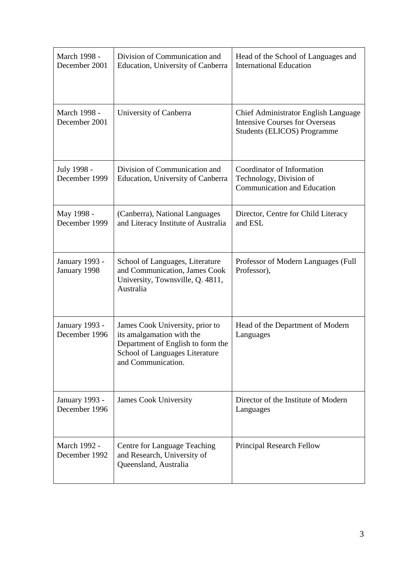| March 1998 -<br>December 2001          | Division of Communication and<br>Education, University of Canberra                                                                                        | Head of the School of Languages and<br><b>International Education</b>                                        |
|----------------------------------------|-----------------------------------------------------------------------------------------------------------------------------------------------------------|--------------------------------------------------------------------------------------------------------------|
| March 1998 -<br>December 2001          | University of Canberra                                                                                                                                    | Chief Administrator English Language<br><b>Intensive Courses for Overseas</b><br>Students (ELICOS) Programme |
| July 1998 -<br>December 1999           | Division of Communication and<br>Education, University of Canberra                                                                                        | Coordinator of Information<br>Technology, Division of<br><b>Communication and Education</b>                  |
| May 1998 -<br>December 1999            | (Canberra), National Languages<br>and Literacy Institute of Australia                                                                                     | Director, Centre for Child Literacy<br>and ESL                                                               |
| January 1993 -<br>January 1998         | School of Languages, Literature<br>and Communication, James Cook<br>University, Townsville, Q. 4811,<br>Australia                                         | Professor of Modern Languages (Full<br>Professor),                                                           |
| <b>January 1993 -</b><br>December 1996 | James Cook University, prior to<br>its amalgamation with the<br>Department of English to form the<br>School of Languages Literature<br>and Communication. | Head of the Department of Modern<br>Languages                                                                |
| January 1993 -<br>December 1996        | <b>James Cook University</b>                                                                                                                              | Director of the Institute of Modern<br>Languages                                                             |
| March 1992 -<br>December 1992          | <b>Centre for Language Teaching</b><br>and Research, University of<br>Queensland, Australia                                                               | Principal Research Fellow                                                                                    |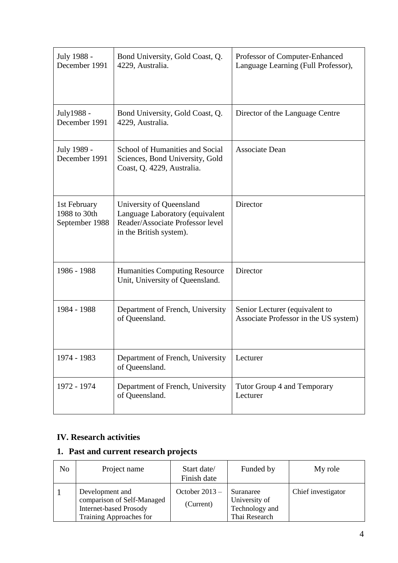| July 1988 -<br>December 1991                   | Bond University, Gold Coast, Q.<br>4229, Australia.                                                                        | Professor of Computer-Enhanced<br>Language Learning (Full Professor),   |
|------------------------------------------------|----------------------------------------------------------------------------------------------------------------------------|-------------------------------------------------------------------------|
| July1988 -<br>December 1991                    | Bond University, Gold Coast, Q.<br>4229, Australia.                                                                        | Director of the Language Centre                                         |
| July 1989 -<br>December 1991                   | School of Humanities and Social<br>Sciences, Bond University, Gold<br>Coast, Q. 4229, Australia.                           | Associate Dean                                                          |
| 1st February<br>1988 to 30th<br>September 1988 | University of Queensland<br>Language Laboratory (equivalent<br>Reader/Associate Professor level<br>in the British system). | Director                                                                |
| 1986 - 1988                                    | <b>Humanities Computing Resource</b><br>Unit, University of Queensland.                                                    | Director                                                                |
| 1984 - 1988                                    | Department of French, University<br>of Queensland.                                                                         | Senior Lecturer (equivalent to<br>Associate Professor in the US system) |
| 1974 - 1983                                    | Department of French, University<br>of Queensland.                                                                         | Lecturer                                                                |
| 1972 - 1974                                    | Department of French, University<br>of Queensland.                                                                         | Tutor Group 4 and Temporary<br>Lecturer                                 |

# **IV. Research activities**

# **1. Past and current research projects**

| No | Project name                                                                                              | Start date/<br>Finish date    | Funded by                                                     | My role            |
|----|-----------------------------------------------------------------------------------------------------------|-------------------------------|---------------------------------------------------------------|--------------------|
|    | Development and<br>comparison of Self-Managed<br><b>Internet-based Prosody</b><br>Training Approaches for | October $2013 -$<br>(Current) | Suranaree<br>University of<br>Technology and<br>Thai Research | Chief investigator |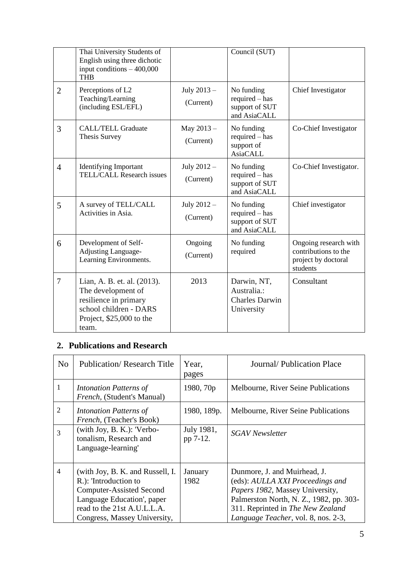|                | Thai University Students of<br>English using three dichotic<br>input conditions $-400,000$<br><b>THB</b>                                   |                          | Council (SUT)                                                     |                                                                                  |
|----------------|--------------------------------------------------------------------------------------------------------------------------------------------|--------------------------|-------------------------------------------------------------------|----------------------------------------------------------------------------------|
| $\overline{2}$ | Perceptions of L2<br>Teaching/Learning<br>(including ESL/EFL)                                                                              | July 2013-<br>(Current)  | No funding<br>required – has<br>support of SUT<br>and AsiaCALL    | Chief Investigator                                                               |
| 3              | <b>CALL/TELL Graduate</b><br>Thesis Survey                                                                                                 | May 2013-<br>(Current)   | No funding<br>required - has<br>support of<br><b>AsiaCALL</b>     | Co-Chief Investigator                                                            |
| $\overline{4}$ | <b>Identifying Important</b><br><b>TELL/CALL Research issues</b>                                                                           | July 2012 -<br>(Current) | No funding<br>$required - has$<br>support of SUT<br>and AsiaCALL  | Co-Chief Investigator.                                                           |
| 5              | A survey of TELL/CALL<br>Activities in Asia.                                                                                               | July 2012 -<br>(Current) | No funding<br>$required - has$<br>support of SUT<br>and AsiaCALL  | Chief investigator                                                               |
| 6              | Development of Self-<br>Adjusting Language-<br>Learning Environments.                                                                      | Ongoing<br>(Current)     | No funding<br>required                                            | Ongoing research with<br>contributions to the<br>project by doctoral<br>students |
| 7              | Lian, A. B. et. al. (2013).<br>The development of<br>resilience in primary<br>school children - DARS<br>Project, $$25,000$ to the<br>team. | 2013                     | Darwin, NT,<br>Australia.:<br><b>Charles Darwin</b><br>University | Consultant                                                                       |

# **2. Publications and Research**

| N <sub>0</sub> | <b>Publication/ Research Title</b>                                                                                                                                                        | Year,<br>pages         | Journal/Publication Place                                                                                                                                                                                                  |
|----------------|-------------------------------------------------------------------------------------------------------------------------------------------------------------------------------------------|------------------------|----------------------------------------------------------------------------------------------------------------------------------------------------------------------------------------------------------------------------|
| 1              | Intonation Patterns of<br><i>French</i> , (Student's Manual)                                                                                                                              | 1980, 70p              | Melbourne, River Seine Publications                                                                                                                                                                                        |
| $\overline{2}$ | Intonation Patterns of<br>French, (Teacher's Book)                                                                                                                                        | 1980, 189p.            | Melbourne, River Seine Publications                                                                                                                                                                                        |
| 3              | (with Joy, B. K.): 'Verbo-<br>tonalism, Research and<br>Language-learning'                                                                                                                | July 1981,<br>pp 7-12. | <b>SGAV</b> Newsletter                                                                                                                                                                                                     |
| $\overline{4}$ | (with Joy, B. K. and Russell, I.<br>R.): 'Introduction to<br><b>Computer-Assisted Second</b><br>Language Education', paper<br>read to the 21st A.U.L.L.A.<br>Congress, Massey University, | January<br>1982        | Dunmore, J. and Muirhead, J.<br>(eds): AULLA XXI Proceedings and<br>Papers 1982, Massey University,<br>Palmerston North, N. Z., 1982, pp. 303-<br>311. Reprinted in The New Zealand<br>Language Teacher, vol. 8, nos. 2-3, |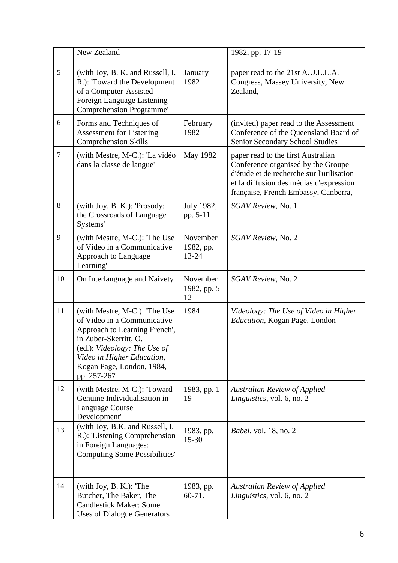|                | New Zealand                                                                                                                                                                                                                      |                                    | 1982, pp. 17-19                                                                                                                                                                                          |
|----------------|----------------------------------------------------------------------------------------------------------------------------------------------------------------------------------------------------------------------------------|------------------------------------|----------------------------------------------------------------------------------------------------------------------------------------------------------------------------------------------------------|
| 5              | (with Joy, B. K. and Russell, I.<br>R.): 'Toward the Development<br>of a Computer-Assisted<br>Foreign Language Listening<br>Comprehension Programme'                                                                             | January<br>1982                    | paper read to the 21st A.U.L.L.A.<br>Congress, Massey University, New<br>Zealand,                                                                                                                        |
| 6              | Forms and Techniques of<br><b>Assessment for Listening</b><br><b>Comprehension Skills</b>                                                                                                                                        | February<br>1982                   | (invited) paper read to the Assessment<br>Conference of the Queensland Board of<br>Senior Secondary School Studies                                                                                       |
| $\overline{7}$ | (with Mestre, M-C.): 'La vidéo<br>dans la classe de langue'                                                                                                                                                                      | May 1982                           | paper read to the first Australian<br>Conference organised by the Groupe<br>d'étude et de recherche sur l'utilisation<br>et la diffusion des médias d'expression<br>française, French Embassy, Canberra, |
| 8              | (with Joy, B. K.): 'Prosody:<br>the Crossroads of Language<br>Systems'                                                                                                                                                           | July 1982,<br>pp. 5-11             | SGAV Review, No. 1                                                                                                                                                                                       |
| 9              | (with Mestre, M-C.): 'The Use<br>of Video in a Communicative<br>Approach to Language<br>Learning'                                                                                                                                | November<br>1982, pp.<br>$13 - 24$ | SGAV Review, No. 2                                                                                                                                                                                       |
| 10             | On Interlanguage and Naivety                                                                                                                                                                                                     | November<br>1982, pp. 5-<br>12     | SGAV Review, No. 2                                                                                                                                                                                       |
| 11             | (with Mestre, M-C.): 'The Use<br>of Video in a Communicative<br>Approach to Learning French',<br>in Zuber-Skerritt, O.<br>(ed.): Videology: The Use of<br>Video in Higher Education,<br>Kogan Page, London, 1984,<br>pp. 257-267 | 1984                               | Videology: The Use of Video in Higher<br>Education, Kogan Page, London                                                                                                                                   |
| 12             | (with Mestre, M-C.): 'Toward<br>Genuine Individualisation in<br>Language Course<br>Development'                                                                                                                                  | 1983, pp. 1-<br>19                 | <b>Australian Review of Applied</b><br>Linguistics, vol. 6, no. 2                                                                                                                                        |
| 13             | (with Joy, B.K. and Russell, I.<br>R.): 'Listening Comprehension<br>in Foreign Languages:<br><b>Computing Some Possibilities'</b>                                                                                                | 1983, pp.<br>$15 - 30$             | <i>Babel</i> , vol. 18, no. 2                                                                                                                                                                            |
| 14             | $(with Joy, B. K.):$ The<br>Butcher, The Baker, The<br><b>Candlestick Maker: Some</b><br><b>Uses of Dialogue Generators</b>                                                                                                      | 1983, pp.<br>$60 - 71.$            | <b>Australian Review of Applied</b><br>Linguistics, vol. 6, no. 2                                                                                                                                        |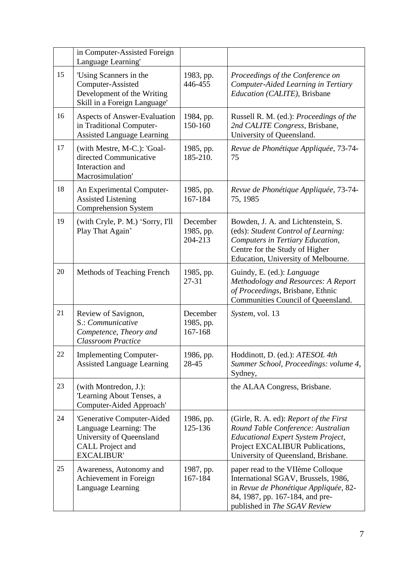|    | in Computer-Assisted Foreign<br>Language Learning'                                                                               |                                  |                                                                                                                                                                                                     |
|----|----------------------------------------------------------------------------------------------------------------------------------|----------------------------------|-----------------------------------------------------------------------------------------------------------------------------------------------------------------------------------------------------|
| 15 | 'Using Scanners in the<br>Computer-Assisted<br>Development of the Writing<br>Skill in a Foreign Language'                        | 1983, pp.<br>446-455             | Proceedings of the Conference on<br>Computer-Aided Learning in Tertiary<br>Education (CALITE), Brisbane                                                                                             |
| 16 | <b>Aspects of Answer-Evaluation</b><br>in Traditional Computer-<br><b>Assisted Language Learning</b>                             | 1984, pp.<br>150-160             | Russell R. M. (ed.): Proceedings of the<br>2nd CALITE Congress, Brisbane,<br>University of Queensland.                                                                                              |
| 17 | (with Mestre, M-C.): 'Goal-<br>directed Communicative<br>Interaction and<br>Macrosimulation'                                     | 1985, pp.<br>185-210.            | Revue de Phonétique Appliquée, 73-74-<br>75                                                                                                                                                         |
| 18 | An Experimental Computer-<br><b>Assisted Listening</b><br><b>Comprehension System</b>                                            | 1985, pp.<br>167-184             | Revue de Phonétique Appliquée, 73-74-<br>75, 1985                                                                                                                                                   |
| 19 | (with Cryle, P. M.) 'Sorry, I'll<br>Play That Again'                                                                             | December<br>1985, pp.<br>204-213 | Bowden, J. A. and Lichtenstein, S.<br>(eds): Student Control of Learning:<br>Computers in Tertiary Education,<br>Centre for the Study of Higher<br>Education, University of Melbourne.              |
| 20 | Methods of Teaching French                                                                                                       | 1985, pp.<br>$27 - 31$           | Guindy, E. (ed.): <i>Language</i><br>Methodology and Resources: A Report<br>of Proceedings, Brisbane, Ethnic<br>Communities Council of Queensland.                                                  |
| 21 | Review of Savignon,<br>S.: Communicative<br>Competence, Theory and<br><b>Classroom Practice</b>                                  | December<br>1985, pp.<br>167-168 | System, vol. 13                                                                                                                                                                                     |
| 22 | <b>Implementing Computer-</b><br><b>Assisted Language Learning</b>                                                               | 1986, pp.<br>28-45               | Hoddinott, D. (ed.): ATESOL 4th<br>Summer School, Proceedings: volume 4,<br>Sydney,                                                                                                                 |
| 23 | (with Montredon, J.):<br>'Learning About Tenses, a<br>Computer-Aided Approach'                                                   |                                  | the ALAA Congress, Brisbane.                                                                                                                                                                        |
| 24 | 'Generative Computer-Aided<br>Language Learning: The<br>University of Queensland<br><b>CALL Project and</b><br><b>EXCALIBUR'</b> | 1986, pp.<br>125-136             | (Girle, R. A. ed): Report of the First<br>Round Table Conference: Australian<br><b>Educational Expert System Project,</b><br>Project EXCALIBUR Publications,<br>University of Queensland, Brisbane. |
| 25 | Awareness, Autonomy and<br>Achievement in Foreign<br>Language Learning                                                           | 1987, pp.<br>167-184             | paper read to the VIIème Colloque<br>International SGAV, Brussels, 1986,<br>in Revue de Phonétique Appliquée, 82-<br>84, 1987, pp. 167-184, and pre-<br>published in The SGAV Review                |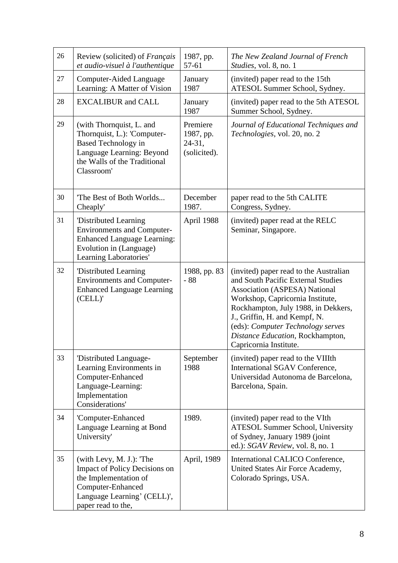| 26 | Review (solicited) of <i>Français</i><br>et audio-visuel à l'authentique                                                                                         | 1987, pp.<br>57-61                              | The New Zealand Journal of French<br>Studies, vol. 8, no. 1                                                                                                                                                                                                                                                                         |
|----|------------------------------------------------------------------------------------------------------------------------------------------------------------------|-------------------------------------------------|-------------------------------------------------------------------------------------------------------------------------------------------------------------------------------------------------------------------------------------------------------------------------------------------------------------------------------------|
| 27 | Computer-Aided Language<br>Learning: A Matter of Vision                                                                                                          | January<br>1987                                 | (invited) paper read to the 15th<br>ATESOL Summer School, Sydney.                                                                                                                                                                                                                                                                   |
| 28 | <b>EXCALIBUR</b> and CALL                                                                                                                                        | January<br>1987                                 | (invited) paper read to the 5th ATESOL<br>Summer School, Sydney.                                                                                                                                                                                                                                                                    |
| 29 | (with Thornquist, L. and<br>Thornquist, L.): 'Computer-<br><b>Based Technology in</b><br>Language Learning: Beyond<br>the Walls of the Traditional<br>Classroom' | Premiere<br>1987, pp.<br>24-31,<br>(solicited). | Journal of Educational Techniques and<br>Technologies, vol. 20, no. 2                                                                                                                                                                                                                                                               |
| 30 | The Best of Both Worlds<br>Cheaply'                                                                                                                              | December<br>1987.                               | paper read to the 5th CALITE<br>Congress, Sydney.                                                                                                                                                                                                                                                                                   |
| 31 | 'Distributed Learning<br><b>Environments and Computer-</b><br><b>Enhanced Language Learning:</b><br>Evolution in (Language)<br>Learning Laboratories'            | April 1988                                      | (invited) paper read at the RELC<br>Seminar, Singapore.                                                                                                                                                                                                                                                                             |
| 32 | 'Distributed Learning<br><b>Environments and Computer-</b><br><b>Enhanced Language Learning</b><br>(CELL)'                                                       | 1988, pp. 83<br>$-88$                           | (invited) paper read to the Australian<br>and South Pacific External Studies<br><b>Association (ASPESA) National</b><br>Workshop, Capricornia Institute,<br>Rockhampton, July 1988, in Dekkers,<br>J., Griffin, H. and Kempf, N.<br>(eds): Computer Technology serves<br>Distance Education, Rockhampton,<br>Capricornia Institute. |
| 33 | 'Distributed Language-<br>Learning Environments in<br>Computer-Enhanced<br>Language-Learning:<br>Implementation<br>Considerations'                               | September<br>1988                               | (invited) paper read to the VIIIth<br>International SGAV Conference,<br>Universidad Autonoma de Barcelona,<br>Barcelona, Spain.                                                                                                                                                                                                     |
| 34 | 'Computer-Enhanced<br>Language Learning at Bond<br>University'                                                                                                   | 1989.                                           | (invited) paper read to the VIth<br><b>ATESOL Summer School, University</b><br>of Sydney, January 1989 (joint<br>ed.): SGAV Review, vol. 8, no. 1                                                                                                                                                                                   |
| 35 | (with Levy, M. J.): 'The<br>Impact of Policy Decisions on<br>the Implementation of<br>Computer-Enhanced<br>Language Learning' (CELL)',<br>paper read to the,     | April, 1989                                     | International CALICO Conference,<br>United States Air Force Academy,<br>Colorado Springs, USA.                                                                                                                                                                                                                                      |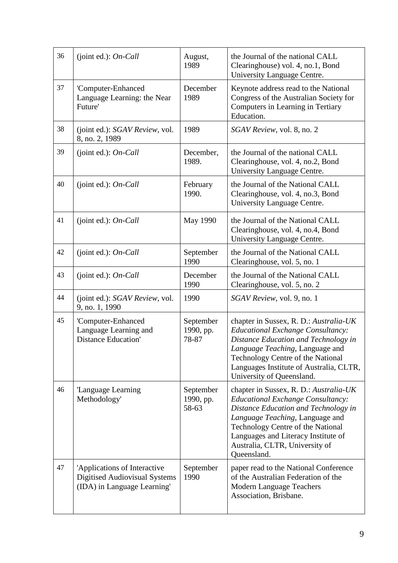| 36 | (joint ed.): $On$ -Call                                                                      | August,<br>1989                 | the Journal of the national CALL<br>Clearinghouse) vol. 4, no.1, Bond<br>University Language Centre.                                                                                                                                                                                       |
|----|----------------------------------------------------------------------------------------------|---------------------------------|--------------------------------------------------------------------------------------------------------------------------------------------------------------------------------------------------------------------------------------------------------------------------------------------|
| 37 | 'Computer-Enhanced<br>Language Learning: the Near<br>Future'                                 | December<br>1989                | Keynote address read to the National<br>Congress of the Australian Society for<br>Computers in Learning in Tertiary<br>Education.                                                                                                                                                          |
| 38 | (joint ed.): SGAV Review, vol.<br>8, no. 2, 1989                                             | 1989                            | SGAV Review, vol. 8, no. 2                                                                                                                                                                                                                                                                 |
| 39 | (joint ed.): $On$ -Call                                                                      | December,<br>1989.              | the Journal of the national CALL<br>Clearinghouse, vol. 4, no.2, Bond<br>University Language Centre.                                                                                                                                                                                       |
| 40 | (joint ed.): $On$ -Call                                                                      | February<br>1990.               | the Journal of the National CALL<br>Clearinghouse, vol. 4, no.3, Bond<br>University Language Centre.                                                                                                                                                                                       |
| 41 | (joint ed.): $On$ -Call                                                                      | May 1990                        | the Journal of the National CALL<br>Clearinghouse, vol. 4, no.4, Bond<br>University Language Centre.                                                                                                                                                                                       |
| 42 | (joint ed.): $On$ -Call                                                                      | September<br>1990               | the Journal of the National CALL<br>Clearinghouse, vol. 5, no. 1                                                                                                                                                                                                                           |
| 43 | (joint ed.): $On$ -Call                                                                      | December<br>1990                | the Journal of the National CALL<br>Clearinghouse, vol. 5, no. 2                                                                                                                                                                                                                           |
| 44 | (joint ed.): SGAV Review, vol.<br>9, no. 1, 1990                                             | 1990                            | SGAV Review, vol. 9, no. 1                                                                                                                                                                                                                                                                 |
| 45 | 'Computer-Enhanced<br>Language Learning and<br><b>Distance Education'</b>                    | September<br>1990, pp.<br>78-87 | chapter in Sussex, R. D.: Australia-UK<br><b>Educational Exchange Consultancy:</b><br>Distance Education and Technology in<br>Language Teaching, Language and<br>Technology Centre of the National<br>Languages Institute of Australia, CLTR,<br>University of Queensland.                 |
| 46 | 'Language Learning<br>Methodology'                                                           | September<br>1990, pp.<br>58-63 | chapter in Sussex, R. D.: Australia-UK<br><b>Educational Exchange Consultancy:</b><br>Distance Education and Technology in<br>Language Teaching, Language and<br>Technology Centre of the National<br>Languages and Literacy Institute of<br>Australia, CLTR, University of<br>Queensland. |
| 47 | 'Applications of Interactive<br>Digitised Audiovisual Systems<br>(IDA) in Language Learning' | September<br>1990               | paper read to the National Conference<br>of the Australian Federation of the<br><b>Modern Language Teachers</b><br>Association, Brisbane.                                                                                                                                                  |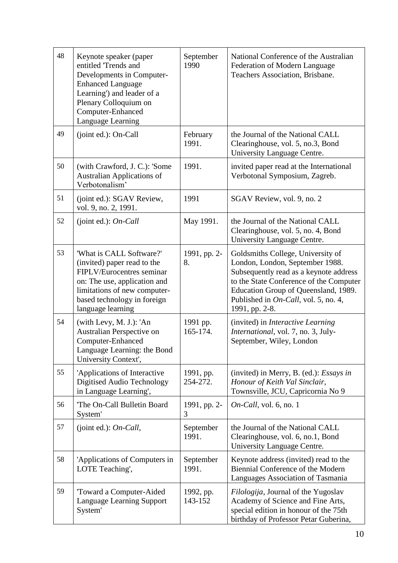| 48 | Keynote speaker (paper<br>entitled 'Trends and<br>Developments in Computer-<br><b>Enhanced Language</b><br>Learning') and leader of a<br>Plenary Colloquium on<br>Computer-Enhanced<br>Language Learning | September<br>1990     | National Conference of the Australian<br>Federation of Modern Language<br>Teachers Association, Brisbane.                                                                                                                                                   |
|----|----------------------------------------------------------------------------------------------------------------------------------------------------------------------------------------------------------|-----------------------|-------------------------------------------------------------------------------------------------------------------------------------------------------------------------------------------------------------------------------------------------------------|
| 49 | (joint ed.): On-Call                                                                                                                                                                                     | February<br>1991.     | the Journal of the National CALL<br>Clearinghouse, vol. 5, no.3, Bond<br>University Language Centre.                                                                                                                                                        |
| 50 | (with Crawford, J. C.): 'Some<br><b>Australian Applications of</b><br>Verbotonalism'                                                                                                                     | 1991.                 | invited paper read at the International<br>Verbotonal Symposium, Zagreb.                                                                                                                                                                                    |
| 51 | (joint ed.): SGAV Review,<br>vol. 9, no. 2, 1991.                                                                                                                                                        | 1991                  | SGAV Review, vol. 9, no. 2                                                                                                                                                                                                                                  |
| 52 | (joint ed.): $On$ -Call                                                                                                                                                                                  | May 1991.             | the Journal of the National CALL<br>Clearinghouse, vol. 5, no. 4, Bond<br>University Language Centre.                                                                                                                                                       |
| 53 | 'What is CALL Software?'<br>(invited) paper read to the<br>FIPLV/Eurocentres seminar<br>on: The use, application and<br>limitations of new computer-<br>based technology in foreign<br>language learning | 1991, pp. 2-<br>8.    | Goldsmiths College, University of<br>London, London, September 1988.<br>Subsequently read as a keynote address<br>to the State Conference of the Computer<br>Education Group of Queensland, 1989.<br>Published in On-Call, vol. 5, no. 4,<br>1991, pp. 2-8. |
| 54 | (with Levy, M. J.): 'An<br>Australian Perspective on<br>Computer-Enhanced<br>Language Learning: the Bond<br>University Context',                                                                         | 1991 pp.<br>165-174.  | (invited) in Interactive Learning<br>International, vol. 7, no. 3, July-<br>September, Wiley, London                                                                                                                                                        |
| 55 | 'Applications of Interactive<br>Digitised Audio Technology<br>in Language Learning',                                                                                                                     | 1991, pp.<br>254-272. | (invited) in Merry, B. (ed.): Essays in<br>Honour of Keith Val Sinclair,<br>Townsville, JCU, Capricornia No 9                                                                                                                                               |
| 56 | 'The On-Call Bulletin Board<br>System'                                                                                                                                                                   | 1991, pp. 2-<br>3     | $On$ -Call, vol. 6, no. 1                                                                                                                                                                                                                                   |
| 57 | (joint ed.): $On$ -Call,                                                                                                                                                                                 | September<br>1991.    | the Journal of the National CALL<br>Clearinghouse, vol. 6, no.1, Bond<br>University Language Centre.                                                                                                                                                        |
| 58 | 'Applications of Computers in<br>LOTE Teaching',                                                                                                                                                         | September<br>1991.    | Keynote address (invited) read to the<br>Biennial Conference of the Modern<br>Languages Association of Tasmania                                                                                                                                             |
| 59 | Toward a Computer-Aided<br>Language Learning Support<br>System'                                                                                                                                          | 1992, pp.<br>143-152  | Filologija, Journal of the Yugoslav<br>Academy of Science and Fine Arts,<br>special edition in honour of the 75th<br>birthday of Professor Petar Guberina,                                                                                                  |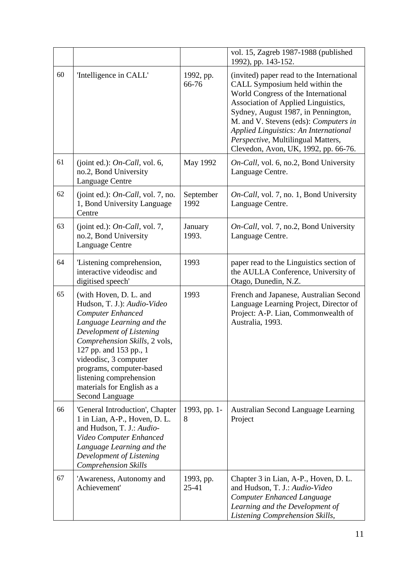|    |                                                                                                                                                                                                                                                                                                                                               |                        | vol. 15, Zagreb 1987-1988 (published<br>1992), pp. 143-152.                                                                                                                                                                                                                                                                                                             |
|----|-----------------------------------------------------------------------------------------------------------------------------------------------------------------------------------------------------------------------------------------------------------------------------------------------------------------------------------------------|------------------------|-------------------------------------------------------------------------------------------------------------------------------------------------------------------------------------------------------------------------------------------------------------------------------------------------------------------------------------------------------------------------|
| 60 | 'Intelligence in CALL'                                                                                                                                                                                                                                                                                                                        | 1992, pp.<br>66-76     | (invited) paper read to the International<br>CALL Symposium held within the<br>World Congress of the International<br>Association of Applied Linguistics,<br>Sydney, August 1987, in Pennington,<br>M. and V. Stevens (eds): Computers in<br><b>Applied Linguistics: An International</b><br>Perspective, Multilingual Matters,<br>Clevedon, Avon, UK, 1992, pp. 66-76. |
| 61 | (joint ed.): $On$ -Call, vol. 6,<br>no.2, Bond University<br>Language Centre                                                                                                                                                                                                                                                                  | May 1992               | On-Call, vol. 6, no.2, Bond University<br>Language Centre.                                                                                                                                                                                                                                                                                                              |
| 62 | (joint ed.): $On$ -Call, vol. 7, no.<br>1, Bond University Language<br>Centre                                                                                                                                                                                                                                                                 | September<br>1992      | On-Call, vol. 7, no. 1, Bond University<br>Language Centre.                                                                                                                                                                                                                                                                                                             |
| 63 | (joint ed.): $On$ -Call, vol. 7,<br>no.2, Bond University<br>Language Centre                                                                                                                                                                                                                                                                  | January<br>1993.       | On-Call, vol. 7, no.2, Bond University<br>Language Centre.                                                                                                                                                                                                                                                                                                              |
| 64 | 'Listening comprehension,<br>interactive videodisc and<br>digitised speech'                                                                                                                                                                                                                                                                   | 1993                   | paper read to the Linguistics section of<br>the AULLA Conference, University of<br>Otago, Dunedin, N.Z.                                                                                                                                                                                                                                                                 |
| 65 | (with Hoven, D. L. and<br>Hudson, T. J.): Audio-Video<br><b>Computer Enhanced</b><br>Language Learning and the<br>Development of Listening<br>Comprehension Skills, 2 vols,<br>127 pp. and 153 pp., 1<br>videodisc, 3 computer<br>programs, computer-based<br>listening comprehension<br>materials for English as a<br><b>Second Language</b> | 1993                   | French and Japanese, Australian Second<br>Language Learning Project, Director of<br>Project: A-P. Lian, Commonwealth of<br>Australia, 1993.                                                                                                                                                                                                                             |
| 66 | 'General Introduction', Chapter<br>1 in Lian, A-P., Hoven, D. L.<br>and Hudson, T. J.: Audio-<br>Video Computer Enhanced<br>Language Learning and the<br>Development of Listening<br><b>Comprehension Skills</b>                                                                                                                              | 1993, pp. 1-<br>8      | <b>Australian Second Language Learning</b><br>Project                                                                                                                                                                                                                                                                                                                   |
| 67 | 'Awareness, Autonomy and<br>Achievement'                                                                                                                                                                                                                                                                                                      | 1993, pp.<br>$25 - 41$ | Chapter 3 in Lian, A-P., Hoven, D. L.<br>and Hudson, T. J.: Audio-Video<br><b>Computer Enhanced Language</b><br>Learning and the Development of<br>Listening Comprehension Skills,                                                                                                                                                                                      |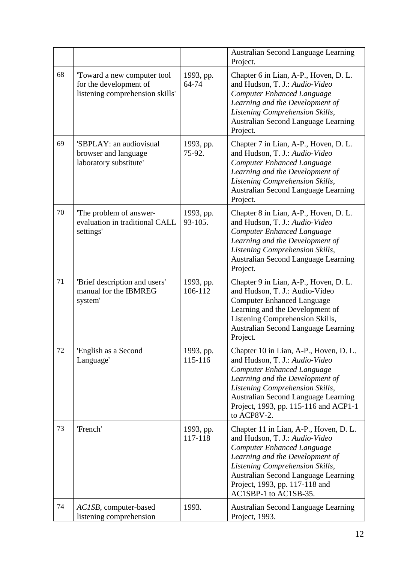|    |                                                                                         |                      | Australian Second Language Learning<br>Project.                                                                                                                                                                                                                                           |
|----|-----------------------------------------------------------------------------------------|----------------------|-------------------------------------------------------------------------------------------------------------------------------------------------------------------------------------------------------------------------------------------------------------------------------------------|
| 68 | Toward a new computer tool<br>for the development of<br>listening comprehension skills' | 1993, pp.<br>64-74   | Chapter 6 in Lian, A-P., Hoven, D. L.<br>and Hudson, T. J.: Audio-Video<br><b>Computer Enhanced Language</b><br>Learning and the Development of<br>Listening Comprehension Skills,<br><b>Australian Second Language Learning</b><br>Project.                                              |
| 69 | 'SBPLAY: an audiovisual<br>browser and language<br>laboratory substitute'               | 1993, pp.<br>75-92.  | Chapter 7 in Lian, A-P., Hoven, D. L.<br>and Hudson, T. J.: Audio-Video<br><b>Computer Enhanced Language</b><br>Learning and the Development of<br>Listening Comprehension Skills,<br><b>Australian Second Language Learning</b><br>Project.                                              |
| 70 | The problem of answer-<br>evaluation in traditional CALL<br>settings'                   | 1993, pp.<br>93-105. | Chapter 8 in Lian, A-P., Hoven, D. L.<br>and Hudson, T. J.: Audio-Video<br><b>Computer Enhanced Language</b><br>Learning and the Development of<br>Listening Comprehension Skills,<br><b>Australian Second Language Learning</b><br>Project.                                              |
| 71 | 'Brief description and users'<br>manual for the IBMREG<br>system'                       | 1993, pp.<br>106-112 | Chapter 9 in Lian, A-P., Hoven, D. L.<br>and Hudson, T. J.: Audio-Video<br><b>Computer Enhanced Language</b><br>Learning and the Development of<br>Listening Comprehension Skills,<br><b>Australian Second Language Learning</b><br>Project.                                              |
| 72 | 'English as a Second<br>Language'                                                       | 1993, pp.<br>115-116 | Chapter 10 in Lian, A-P., Hoven, D. L.<br>and Hudson, T. J.: Audio-Video<br><b>Computer Enhanced Language</b><br>Learning and the Development of<br>Listening Comprehension Skills,<br><b>Australian Second Language Learning</b><br>Project, 1993, pp. 115-116 and ACP1-1<br>to ACP8V-2. |
| 73 | 'French'                                                                                | 1993, pp.<br>117-118 | Chapter 11 in Lian, A-P., Hoven, D. L.<br>and Hudson, T. J.: Audio-Video<br><b>Computer Enhanced Language</b><br>Learning and the Development of<br>Listening Comprehension Skills,<br>Australian Second Language Learning<br>Project, 1993, pp. 117-118 and<br>AC1SBP-1 to AC1SB-35.     |
| 74 | AC1SB, computer-based<br>listening comprehension                                        | 1993.                | <b>Australian Second Language Learning</b><br>Project, 1993.                                                                                                                                                                                                                              |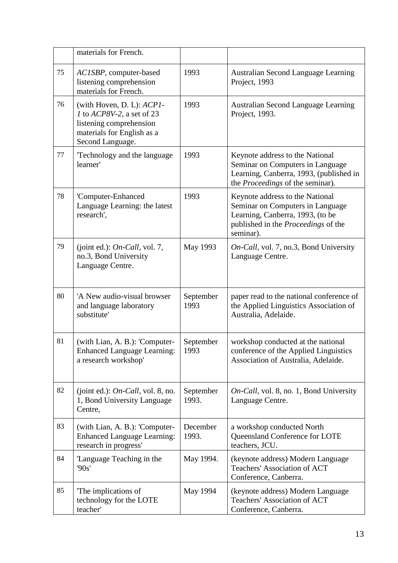|    | materials for French.                                                                                                               |                    |                                                                                                                                                                    |
|----|-------------------------------------------------------------------------------------------------------------------------------------|--------------------|--------------------------------------------------------------------------------------------------------------------------------------------------------------------|
| 75 | AC1SBP, computer-based<br>listening comprehension<br>materials for French.                                                          | 1993               | <b>Australian Second Language Learning</b><br>Project, 1993                                                                                                        |
| 76 | (with Hoven, D. L): ACP1-<br>1 to ACP8V-2, a set of 23<br>listening comprehension<br>materials for English as a<br>Second Language. | 1993               | <b>Australian Second Language Learning</b><br>Project, 1993.                                                                                                       |
| 77 | Technology and the language<br>learner'                                                                                             | 1993               | Keynote address to the National<br>Seminar on Computers in Language<br>Learning, Canberra, 1993, (published in<br>the <i>Proceedings</i> of the seminar).          |
| 78 | 'Computer-Enhanced<br>Language Learning: the latest<br>research',                                                                   | 1993               | Keynote address to the National<br>Seminar on Computers in Language<br>Learning, Canberra, 1993, (to be<br>published in the <i>Proceedings</i> of the<br>seminar). |
| 79 | (joint ed.): On-Call, vol. 7,<br>no.3, Bond University<br>Language Centre.                                                          | May 1993           | On-Call, vol. 7, no.3, Bond University<br>Language Centre.                                                                                                         |
| 80 | 'A New audio-visual browser<br>and language laboratory<br>substitute'                                                               | September<br>1993  | paper read to the national conference of<br>the Applied Linguistics Association of<br>Australia, Adelaide.                                                         |
| 81 | (with Lian, A. B.): 'Computer-<br><b>Enhanced Language Learning:</b><br>a research workshop'                                        | September<br>1993  | workshop conducted at the national<br>conference of the Applied Linguistics<br>Association of Australia, Adelaide.                                                 |
| 82 | (joint ed.): $On$ -Call, vol. 8, no.<br>1, Bond University Language<br>Centre,                                                      | September<br>1993. | On-Call, vol. 8, no. 1, Bond University<br>Language Centre.                                                                                                        |
| 83 | (with Lian, A. B.): 'Computer-<br><b>Enhanced Language Learning:</b><br>research in progress'                                       | December<br>1993.  | a workshop conducted North<br>Queensland Conference for LOTE<br>teachers, JCU.                                                                                     |
| 84 | Language Teaching in the<br>90s'                                                                                                    | May 1994.          | (keynote address) Modern Language<br>Teachers' Association of ACT<br>Conference, Canberra.                                                                         |
| 85 | The implications of<br>technology for the LOTE<br>teacher'                                                                          | May 1994           | (keynote address) Modern Language<br><b>Teachers' Association of ACT</b><br>Conference, Canberra.                                                                  |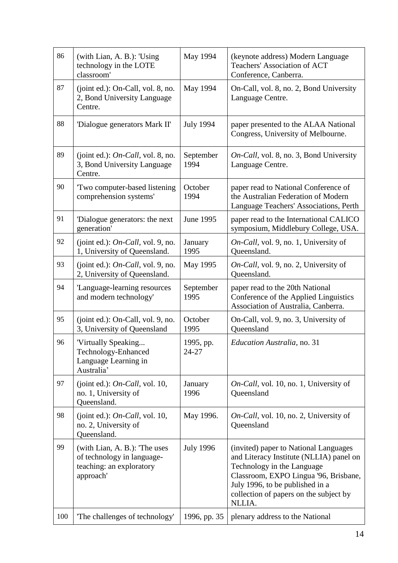| 86  | (with Lian, A. B.): 'Using<br>technology in the LOTE<br>classroom'                                  | May 1994           | (keynote address) Modern Language<br>Teachers' Association of ACT<br>Conference, Canberra.                                                                                                                                                     |
|-----|-----------------------------------------------------------------------------------------------------|--------------------|------------------------------------------------------------------------------------------------------------------------------------------------------------------------------------------------------------------------------------------------|
| 87  | (joint ed.): On-Call, vol. 8, no.<br>2, Bond University Language<br>Centre.                         | May 1994           | On-Call, vol. 8, no. 2, Bond University<br>Language Centre.                                                                                                                                                                                    |
| 88  | 'Dialogue generators Mark II'                                                                       | <b>July 1994</b>   | paper presented to the ALAA National<br>Congress, University of Melbourne.                                                                                                                                                                     |
| 89  | (joint ed.): $On$ -Call, vol. 8, no.<br>3, Bond University Language<br>Centre.                      | September<br>1994  | On-Call, vol. 8, no. 3, Bond University<br>Language Centre.                                                                                                                                                                                    |
| 90  | Two computer-based listening<br>comprehension systems'                                              | October<br>1994    | paper read to National Conference of<br>the Australian Federation of Modern<br>Language Teachers' Associations, Perth                                                                                                                          |
| 91  | 'Dialogue generators: the next<br>generation'                                                       | June 1995          | paper read to the International CALICO<br>symposium, Middlebury College, USA.                                                                                                                                                                  |
| 92  | (joint ed.): $On$ -Call, vol. 9, no.<br>1, University of Queensland.                                | January<br>1995    | On-Call, vol. 9, no. 1, University of<br>Queensland.                                                                                                                                                                                           |
| 93  | (joint ed.): $On$ -Call, vol. 9, no.<br>2, University of Queensland.                                | May 1995           | On-Call, vol. 9, no. 2, University of<br>Queensland.                                                                                                                                                                                           |
| 94  | 'Language-learning resources<br>and modern technology'                                              | September<br>1995  | paper read to the 20th National<br>Conference of the Applied Linguistics<br>Association of Australia, Canberra.                                                                                                                                |
| 95  | (joint ed.): On-Call, vol. 9, no.<br>3, University of Queensland                                    | October<br>1995    | On-Call, vol. 9, no. 3, University of<br>Queensland                                                                                                                                                                                            |
| 96  | 'Virtually Speaking<br>Technology-Enhanced<br>Language Learning in<br>Australia'                    | 1995, pp.<br>24-27 | <i>Education Australia, no. 31</i>                                                                                                                                                                                                             |
| 97  | (joint ed.): On-Call, vol. 10,<br>no. 1, University of<br>Queensland.                               | January<br>1996    | <i>On-Call</i> , vol. 10, no. 1, University of<br>Queensland                                                                                                                                                                                   |
| 98  | (joint ed.): On-Call, vol. 10,<br>no. 2, University of<br>Queensland.                               | May 1996.          | <i>On-Call</i> , vol. 10, no. 2, University of<br>Queensland                                                                                                                                                                                   |
| 99  | (with Lian, A. B.): The uses<br>of technology in language-<br>teaching: an exploratory<br>approach' | <b>July 1996</b>   | (invited) paper to National Languages<br>and Literacy Institute (NLLIA) panel on<br>Technology in the Language<br>Classroom, EXPO Lingua '96, Brisbane,<br>July 1996, to be published in a<br>collection of papers on the subject by<br>NLLIA. |
| 100 | 'The challenges of technology'                                                                      | 1996, pp. 35       | plenary address to the National                                                                                                                                                                                                                |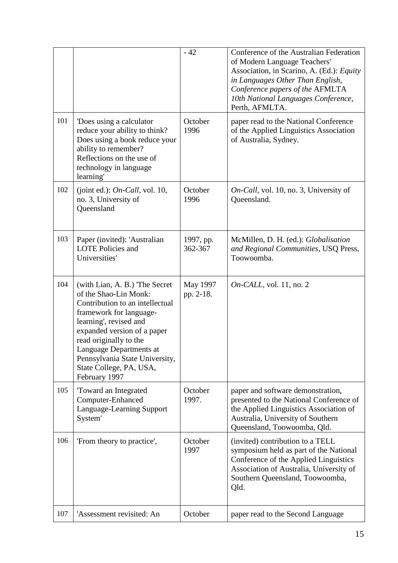|     |                                                                                                                                                                                                                                                                                                                  | $-42$                 | Conference of the Australian Federation<br>of Modern Language Teachers'<br>Association, in Scarino, A. (Ed.): Equity<br>in Languages Other Than English,<br>Conference papers of the AFMLTA<br>10th National Languages Conference,<br>Perth, AFMLTA. |
|-----|------------------------------------------------------------------------------------------------------------------------------------------------------------------------------------------------------------------------------------------------------------------------------------------------------------------|-----------------------|------------------------------------------------------------------------------------------------------------------------------------------------------------------------------------------------------------------------------------------------------|
| 101 | Does using a calculator<br>reduce your ability to think?<br>Does using a book reduce your<br>ability to remember?<br>Reflections on the use of<br>technology in language<br>learning'                                                                                                                            | October<br>1996       | paper read to the National Conference<br>of the Applied Linguistics Association<br>of Australia, Sydney.                                                                                                                                             |
| 102 | (joint ed.): $On$ -Call, vol. 10,<br>no. 3, University of<br>Queensland                                                                                                                                                                                                                                          | October<br>1996       | On-Call, vol. 10, no. 3, University of<br>Queensland.                                                                                                                                                                                                |
| 103 | Paper (invited): 'Australian<br><b>LOTE Policies and</b><br>Universities'                                                                                                                                                                                                                                        | 1997, pp.<br>362-367  | McMillen, D. H. (ed.): Globalisation<br>and Regional Communities, USQ Press,<br>Toowoomba.                                                                                                                                                           |
| 104 | (with Lian, A. B.) The Secret<br>of the Shao-Lin Monk:<br>Contribution to an intellectual<br>framework for language-<br>learning', revised and<br>expanded version of a paper<br>read originally to the<br>Language Departments at<br>Pennsylvania State University,<br>State College, PA, USA,<br>February 1997 | May 1997<br>pp. 2-18. | $On\text{-}CALL$ , vol. 11, no. 2                                                                                                                                                                                                                    |
| 105 | Toward an Integrated<br>Computer-Enhanced<br>Language-Learning Support<br>System'                                                                                                                                                                                                                                | October<br>1997.      | paper and software demonstration,<br>presented to the National Conference of<br>the Applied Linguistics Association of<br>Australia, University of Southern<br>Queensland, Toowoomba, Qld.                                                           |
| 106 | 'From theory to practice',                                                                                                                                                                                                                                                                                       | October<br>1997       | (invited) contribution to a TELL<br>symposium held as part of the National<br>Conference of the Applied Linguistics<br>Association of Australia, University of<br>Southern Queensland, Toowoomba,<br>Qld.                                            |
| 107 | 'Assessment revisited: An                                                                                                                                                                                                                                                                                        | October               | paper read to the Second Language                                                                                                                                                                                                                    |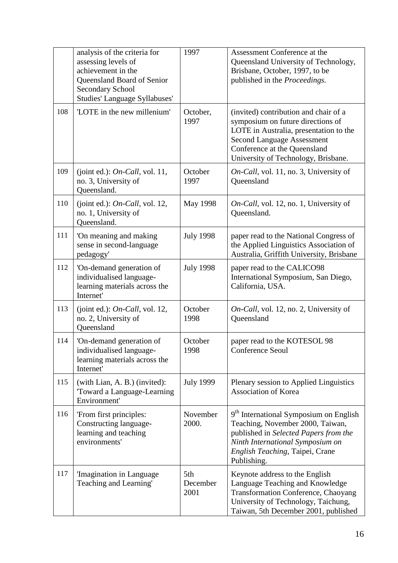|     | analysis of the criteria for<br>assessing levels of<br>achievement in the<br>Queensland Board of Senior<br><b>Secondary School</b><br>Studies' Language Syllabuses' | 1997                    | Assessment Conference at the<br>Queensland University of Technology,<br>Brisbane, October, 1997, to be<br>published in the Proceedings.                                                                                          |
|-----|---------------------------------------------------------------------------------------------------------------------------------------------------------------------|-------------------------|----------------------------------------------------------------------------------------------------------------------------------------------------------------------------------------------------------------------------------|
| 108 | 'LOTE in the new millenium'                                                                                                                                         | October,<br>1997        | (invited) contribution and chair of a<br>symposium on future directions of<br>LOTE in Australia, presentation to the<br><b>Second Language Assessment</b><br>Conference at the Queensland<br>University of Technology, Brisbane. |
| 109 | (joint ed.): $On$ -Call, vol. 11,<br>no. 3, University of<br>Queensland.                                                                                            | October<br>1997         | On-Call, vol. 11, no. 3, University of<br>Queensland                                                                                                                                                                             |
| 110 | (joint ed.): $On$ -Call, vol. 12,<br>no. 1, University of<br>Queensland.                                                                                            | May 1998                | On-Call, vol. 12, no. 1, University of<br>Queensland.                                                                                                                                                                            |
| 111 | 'On meaning and making<br>sense in second-language<br>pedagogy'                                                                                                     | <b>July 1998</b>        | paper read to the National Congress of<br>the Applied Linguistics Association of<br>Australia, Griffith University, Brisbane                                                                                                     |
| 112 | 'On-demand generation of<br>individualised language-<br>learning materials across the<br>Internet'                                                                  | <b>July 1998</b>        | paper read to the CALICO98<br>International Symposium, San Diego,<br>California, USA.                                                                                                                                            |
| 113 | (joint ed.): $On$ -Call, vol. 12,<br>no. 2, University of<br>Queensland                                                                                             | October<br>1998         | On-Call, vol. 12, no. 2, University of<br>Queensland                                                                                                                                                                             |
| 114 | 'On-demand generation of<br>individualised language-<br>learning materials across the<br>Internet'                                                                  | October<br>1998         | paper read to the KOTESOL 98<br>Conference Seoul                                                                                                                                                                                 |
| 115 | (with Lian, A. B.) (invited):<br>Toward a Language-Learning<br>Environment'                                                                                         | <b>July 1999</b>        | Plenary session to Applied Linguistics<br><b>Association of Korea</b>                                                                                                                                                            |
| 116 | 'From first principles:<br>Constructing language-<br>learning and teaching<br>environments'                                                                         | November<br>2000.       | 9 <sup>th</sup> International Symposium on English<br>Teaching, November 2000, Taiwan,<br>published in Selected Papers from the<br>Ninth International Symposium on<br>English Teaching, Taipei, Crane<br>Publishing.            |
| 117 | 'Imagination in Language<br>Teaching and Learning'                                                                                                                  | 5th<br>December<br>2001 | Keynote address to the English<br>Language Teaching and Knowledge<br><b>Transformation Conference, Chaoyang</b><br>University of Technology, Taichung,<br>Taiwan, 5th December 2001, published                                   |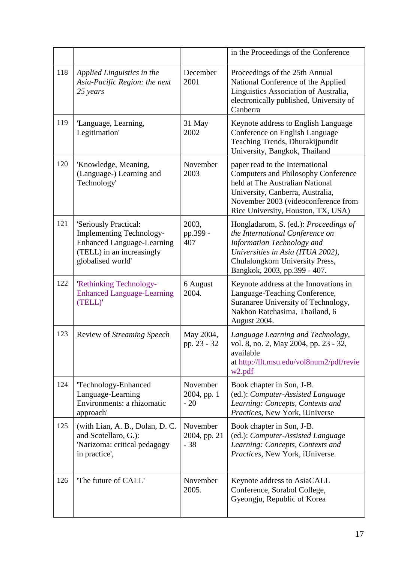|     |                                                                                                                                                 |                                   | in the Proceedings of the Conference                                                                                                                                                                                              |
|-----|-------------------------------------------------------------------------------------------------------------------------------------------------|-----------------------------------|-----------------------------------------------------------------------------------------------------------------------------------------------------------------------------------------------------------------------------------|
| 118 | Applied Linguistics in the<br>Asia-Pacific Region: the next<br>25 years                                                                         | December<br>2001                  | Proceedings of the 25th Annual<br>National Conference of the Applied<br>Linguistics Association of Australia,<br>electronically published, University of<br>Canberra                                                              |
| 119 | 'Language, Learning,<br>Legitimation'                                                                                                           | 31 May<br>2002                    | Keynote address to English Language<br>Conference on English Language<br>Teaching Trends, Dhurakijpundit<br>University, Bangkok, Thailand                                                                                         |
| 120 | 'Knowledge, Meaning,<br>(Language-) Learning and<br>Technology'                                                                                 | November<br>2003                  | paper read to the International<br><b>Computers and Philosophy Conference</b><br>held at The Australian National<br>University, Canberra, Australia,<br>November 2003 (videoconference from<br>Rice University, Houston, TX, USA) |
| 121 | 'Seriously Practical:<br><b>Implementing Technology-</b><br><b>Enhanced Language-Learning</b><br>(TELL) in an increasingly<br>globalised world' | 2003,<br>pp.399 -<br>407          | Hongladarom, S. (ed.): Proceedings of<br>the International Conference on<br>Information Technology and<br>Universities in Asia (ITUA 2002),<br>Chulalongkorn University Press,<br>Bangkok, 2003, pp.399 - 407.                    |
| 122 | 'Rethinking Technology-<br><b>Enhanced Language-Learning</b><br>(TELL)'                                                                         | 6 August<br>2004.                 | Keynote address at the Innovations in<br>Language-Teaching Conference,<br>Suranaree University of Technology,<br>Nakhon Ratchasima, Thailand, 6<br>August 2004.                                                                   |
| 123 | Review of Streaming Speech                                                                                                                      | May 2004,<br>pp. 23 - 32          | Language Learning and Technology,<br>vol. 8, no. 2, May 2004, pp. 23 - 32,<br>available<br>at http://llt.msu.edu/vol8num2/pdf/revie<br>w <sub>2.pdf</sub>                                                                         |
| 124 | 'Technology-Enhanced<br>Language-Learning<br>Environments: a rhizomatic<br>approach'                                                            | November<br>2004, pp. 1<br>$-20$  | Book chapter in Son, J-B.<br>(ed.): Computer-Assisted Language<br>Learning: Concepts, Contexts and<br>Practices, New York, iUniverse                                                                                              |
| 125 | (with Lian, A. B., Dolan, D. C.<br>and Scotellaro, G.):<br>'Narizoma: critical pedagogy<br>in practice',                                        | November<br>2004, pp. 21<br>$-38$ | Book chapter in Son, J-B.<br>(ed.): Computer-Assisted Language<br>Learning: Concepts, Contexts and<br>Practices, New York, iUniverse.                                                                                             |
| 126 | The future of CALL'                                                                                                                             | November<br>2005.                 | Keynote address to AsiaCALL<br>Conference, Sorabol College,<br>Gyeongju, Republic of Korea                                                                                                                                        |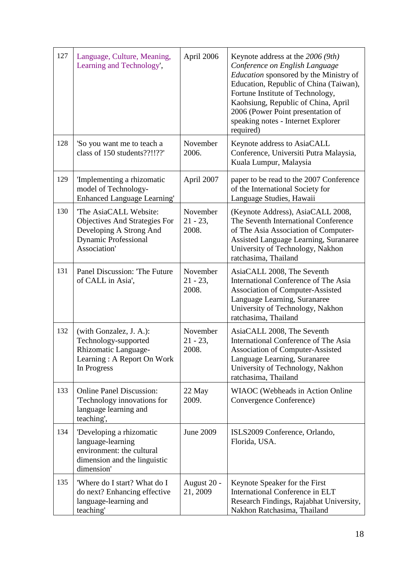| 127 | Language, Culture, Meaning,<br>Learning and Technology',                                                                                | April 2006                       | Keynote address at the $2006 (9th)$<br>Conference on English Language<br><i>Education</i> sponsored by the Ministry of<br>Education, Republic of China (Taiwan),<br>Fortune Institute of Technology,<br>Kaohsiung, Republic of China, April<br>2006 (Power Point presentation of<br>speaking notes - Internet Explorer<br>required) |
|-----|-----------------------------------------------------------------------------------------------------------------------------------------|----------------------------------|-------------------------------------------------------------------------------------------------------------------------------------------------------------------------------------------------------------------------------------------------------------------------------------------------------------------------------------|
| 128 | 'So you want me to teach a<br>class of 150 students??!!??'                                                                              | November<br>2006.                | Keynote address to AsiaCALL<br>Conference, Universiti Putra Malaysia,<br>Kuala Lumpur, Malaysia                                                                                                                                                                                                                                     |
| 129 | 'Implementing a rhizomatic<br>model of Technology-<br><b>Enhanced Language Learning'</b>                                                | April 2007                       | paper to be read to the 2007 Conference<br>of the International Society for<br>Language Studies, Hawaii                                                                                                                                                                                                                             |
| 130 | The AsiaCALL Website:<br><b>Objectives And Strategies For</b><br>Developing A Strong And<br><b>Dynamic Professional</b><br>Association' | November<br>$21 - 23$ ,<br>2008. | (Keynote Address), AsiaCALL 2008,<br>The Seventh International Conference<br>of The Asia Association of Computer-<br>Assisted Language Learning, Suranaree<br>University of Technology, Nakhon<br>ratchasima, Thailand                                                                                                              |
| 131 | Panel Discussion: The Future<br>of CALL in Asia',                                                                                       | November<br>$21 - 23$ ,<br>2008. | AsiaCALL 2008, The Seventh<br>International Conference of The Asia<br>Association of Computer-Assisted<br>Language Learning, Suranaree<br>University of Technology, Nakhon<br>ratchasima, Thailand                                                                                                                                  |
| 132 | (with Gonzalez, J. A.):<br>Technology-supported<br>Rhizomatic Language-<br>Learning: A Report On Work<br>In Progress                    | November<br>$21 - 23$ ,<br>2008. | AsiaCALL 2008, The Seventh<br>International Conference of The Asia<br>Association of Computer-Assisted<br>Language Learning, Suranaree<br>University of Technology, Nakhon<br>ratchasima, Thailand                                                                                                                                  |
| 133 | <b>Online Panel Discussion:</b><br>Technology innovations for<br>language learning and<br>teaching',                                    | 22 May<br>2009.                  | WIAOC (Webheads in Action Online<br>Convergence Conference)                                                                                                                                                                                                                                                                         |
| 134 | Developing a rhizomatic<br>language-learning<br>environment: the cultural<br>dimension and the linguistic<br>dimension'                 | June 2009                        | ISLS2009 Conference, Orlando,<br>Florida, USA.                                                                                                                                                                                                                                                                                      |
| 135 | 'Where do I start? What do I<br>do next? Enhancing effective<br>language-learning and<br>teaching'                                      | August 20 -<br>21, 2009          | Keynote Speaker for the First<br>International Conference in ELT<br>Research Findings, Rajabhat University,<br>Nakhon Ratchasima, Thailand                                                                                                                                                                                          |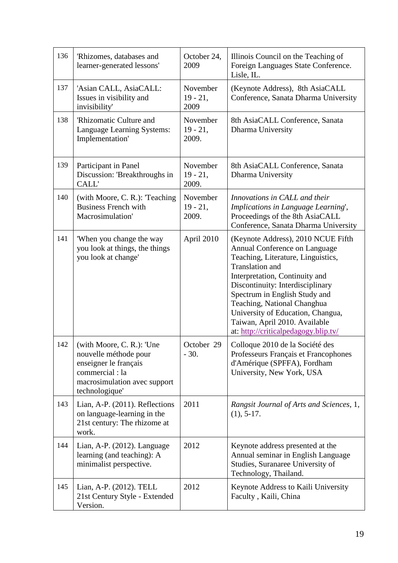| 136 | 'Rhizomes, databases and<br>learner-generated lessons'                                                                                           | October 24,<br>2009              | Illinois Council on the Teaching of<br>Foreign Languages State Conference.<br>Lisle, IL.                                                                                                                                                                                                                                                                                         |
|-----|--------------------------------------------------------------------------------------------------------------------------------------------------|----------------------------------|----------------------------------------------------------------------------------------------------------------------------------------------------------------------------------------------------------------------------------------------------------------------------------------------------------------------------------------------------------------------------------|
| 137 | 'Asian CALL, AsiaCALL:<br>Issues in visibility and<br>invisibility'                                                                              | November<br>$19 - 21$ ,<br>2009  | (Keynote Address), 8th AsiaCALL<br>Conference, Sanata Dharma University                                                                                                                                                                                                                                                                                                          |
| 138 | 'Rhizomatic Culture and<br>Language Learning Systems:<br>Implementation'                                                                         | November<br>$19 - 21$ ,<br>2009. | 8th AsiaCALL Conference, Sanata<br>Dharma University                                                                                                                                                                                                                                                                                                                             |
| 139 | Participant in Panel<br>Discussion: 'Breakthroughs in<br>CALL'                                                                                   | November<br>$19 - 21$ ,<br>2009. | 8th AsiaCALL Conference, Sanata<br>Dharma University                                                                                                                                                                                                                                                                                                                             |
| 140 | (with Moore, C. R.): Teaching<br><b>Business French with</b><br>Macrosimulation'                                                                 | November<br>$19 - 21$ ,<br>2009. | Innovations in CALL and their<br>Implications in Language Learning',<br>Proceedings of the 8th AsiaCALL<br>Conference, Sanata Dharma University                                                                                                                                                                                                                                  |
| 141 | 'When you change the way<br>you look at things, the things<br>you look at change'                                                                | April 2010                       | (Keynote Address), 2010 NCUE Fifth<br>Annual Conference on Language<br>Teaching, Literature, Linguistics,<br>Translation and<br>Interpretation, Continuity and<br>Discontinuity: Interdisciplinary<br>Spectrum in English Study and<br>Teaching, National Changhua<br>University of Education, Changua,<br>Taiwan, April 2010. Available<br>at: http://criticalpedagogy.blip.tv/ |
| 142 | (with Moore, C. R.): 'Une<br>nouvelle méthode pour<br>enseigner le français<br>commercial : la<br>macrosimulation avec support<br>technologique' | October 29<br>$-30.$             | Colloque 2010 de la Société des<br>Professeurs Français et Francophones<br>d'Amérique (SPFFA), Fordham<br>University, New York, USA                                                                                                                                                                                                                                              |
| 143 | Lian, A-P. (2011). Reflections<br>on language-learning in the<br>21st century: The rhizome at<br>work.                                           | 2011                             | Rangsit Journal of Arts and Sciences, 1,<br>$(1), 5-17.$                                                                                                                                                                                                                                                                                                                         |
| 144 | Lian, A-P. (2012). Language<br>learning (and teaching): A<br>minimalist perspective.                                                             | 2012                             | Keynote address presented at the<br>Annual seminar in English Language<br>Studies, Suranaree University of<br>Technology, Thailand.                                                                                                                                                                                                                                              |
| 145 | Lian, A-P. (2012). TELL<br>21st Century Style - Extended<br>Version.                                                                             | 2012                             | Keynote Address to Kaili University<br>Faculty, Kaili, China                                                                                                                                                                                                                                                                                                                     |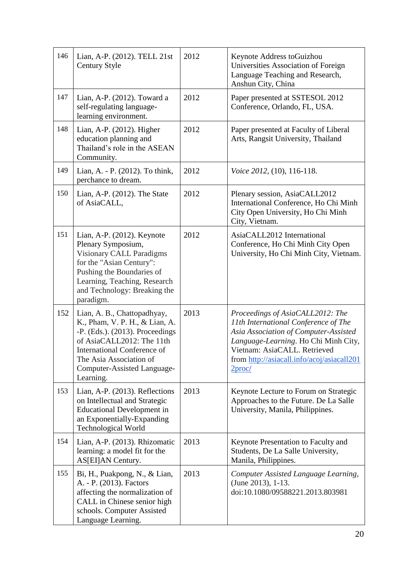| 146 | Lian, A-P. (2012). TELL 21st<br><b>Century Style</b>                                                                                                                                                                                         | 2012 | Keynote Address toGuizhou<br>Universities Association of Foreign<br>Language Teaching and Research,<br>Anshun City, China                                                                                                                                     |
|-----|----------------------------------------------------------------------------------------------------------------------------------------------------------------------------------------------------------------------------------------------|------|---------------------------------------------------------------------------------------------------------------------------------------------------------------------------------------------------------------------------------------------------------------|
| 147 | Lian, A-P. (2012). Toward a<br>self-regulating language-<br>learning environment.                                                                                                                                                            | 2012 | Paper presented at SSTESOL 2012<br>Conference, Orlando, FL, USA.                                                                                                                                                                                              |
| 148 | Lian, A-P. (2012). Higher<br>education planning and<br>Thailand's role in the ASEAN<br>Community.                                                                                                                                            | 2012 | Paper presented at Faculty of Liberal<br>Arts, Rangsit University, Thailand                                                                                                                                                                                   |
| 149 | Lian, A. - P. (2012). To think,<br>perchance to dream.                                                                                                                                                                                       | 2012 | <i>Voice 2012</i> , (10), 116-118.                                                                                                                                                                                                                            |
| 150 | Lian, A-P. $(2012)$ . The State<br>of AsiaCALL,                                                                                                                                                                                              | 2012 | Plenary session, AsiaCALL2012<br>International Conference, Ho Chi Minh<br>City Open University, Ho Chi Minh<br>City, Vietnam.                                                                                                                                 |
| 151 | Lian, A-P. $(2012)$ . Keynote<br>Plenary Symposium,<br>Visionary CALL Paradigms<br>for the "Asian Century":<br>Pushing the Boundaries of<br>Learning, Teaching, Research<br>and Technology: Breaking the<br>paradigm.                        | 2012 | AsiaCALL2012 International<br>Conference, Ho Chi Minh City Open<br>University, Ho Chi Minh City, Vietnam.                                                                                                                                                     |
| 152 | Lian, A. B., Chattopadhyay,<br>K., Pham, V. P. H., & Lian, A.<br>$-P.$ (Eds.). (2013). Proceedings<br>of AsiaCALL2012: The 11th<br><b>International Conference of</b><br>The Asia Association of<br>Computer-Assisted Language-<br>Learning. | 2013 | Proceedings of AsiaCALL2012: The<br>11th International Conference of The<br>Asia Association of Computer-Assisted<br>Language-Learning. Ho Chi Minh City,<br>Vietnam: AsiaCALL. Retrieved<br>from http://asiacall.info/acoj/asiacall201<br>2 <sub>proc/</sub> |
| 153 | Lian, A-P. (2013). Reflections<br>on Intellectual and Strategic<br><b>Educational Development in</b><br>an Exponentially-Expanding<br><b>Technological World</b>                                                                             | 2013 | Keynote Lecture to Forum on Strategic<br>Approaches to the Future. De La Salle<br>University, Manila, Philippines.                                                                                                                                            |
| 154 | Lian, A-P. (2013). Rhizomatic<br>learning: a model fit for the<br>AS[EI]AN Century.                                                                                                                                                          | 2013 | Keynote Presentation to Faculty and<br>Students, De La Salle University,<br>Manila, Philippines.                                                                                                                                                              |
| 155 | Bi, H., Puakpong, N., & Lian,<br>A. - P. (2013). Factors<br>affecting the normalization of<br>CALL in Chinese senior high<br>schools. Computer Assisted<br>Language Learning.                                                                | 2013 | Computer Assisted Language Learning,<br>(June 2013), 1-13.<br>doi:10.1080/09588221.2013.803981                                                                                                                                                                |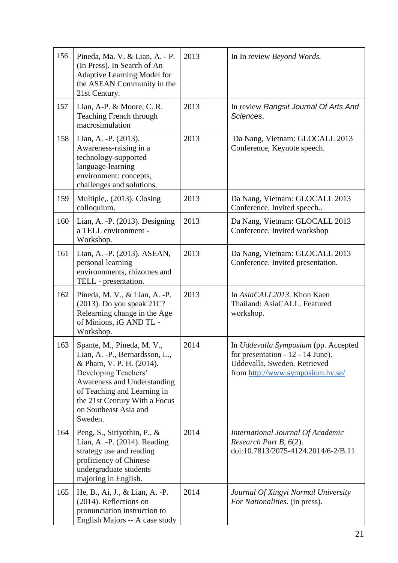| 156 | Pineda, Ma. V. & Lian, A. - P.<br>(In Press). In Search of An<br>Adaptive Learning Model for<br>the ASEAN Community in the<br>21st Century.                                                                                                         | 2013 | In In review Beyond Words.                                                                                                                     |
|-----|-----------------------------------------------------------------------------------------------------------------------------------------------------------------------------------------------------------------------------------------------------|------|------------------------------------------------------------------------------------------------------------------------------------------------|
| 157 | Lian, A-P. & Moore, C. R.<br>Teaching French through<br>macrosimulation                                                                                                                                                                             | 2013 | In review Rangsit Journal Of Arts And<br>Sciences.                                                                                             |
| 158 | Lian, A. - P. (2013).<br>Awareness-raising in a<br>technology-supported<br>language-learning<br>environment: concepts,<br>challenges and solutions.                                                                                                 | 2013 | Da Nang, Vietnam: GLOCALL 2013<br>Conference, Keynote speech.                                                                                  |
| 159 | Multiple,. (2013). Closing<br>colloquium.                                                                                                                                                                                                           | 2013 | Da Nang, Vietnam: GLOCALL 2013<br>Conference. Invited speech                                                                                   |
| 160 | Lian, A. - P. (2013). Designing<br>a TELL environment -<br>Workshop.                                                                                                                                                                                | 2013 | Da Nang, Vietnam: GLOCALL 2013<br>Conference. Invited workshop                                                                                 |
| 161 | Lian, A. - P. (2013). ASEAN,<br>personal learning<br>environments, rhizomes and<br>TELL - presentation.                                                                                                                                             | 2013 | Da Nang, Vietnam: GLOCALL 2013<br>Conference. Invited presentation.                                                                            |
| 162 | Pineda, M. V., & Lian, A. -P.<br>$(2013)$ . Do you speak $21C$ ?<br>Relearning change in the Age<br>of Minions, iG AND TL -<br>Workshop.                                                                                                            | 2013 | In AsiaCALL2013. Khon Kaen<br>Thailand: AsiaCALL. Featured<br>workshop.                                                                        |
| 163 | Spante, M., Pineda, M. V.<br>Lian, A. - P., Bernardsson, L.,<br>& Pham, V. P. H. (2014).<br>Developing Teachers'<br>Awareness and Understanding<br>of Teaching and Learning in<br>the 21st Century With a Focus<br>on Southeast Asia and<br>Sweden. | 2014 | In Uddevalla Symposium (pp. Accepted<br>for presentation $-12 - 14$ June).<br>Uddevalla, Sweden. Retrieved<br>from http://www.symposium.hv.se/ |
| 164 | Peng, S., Siriyothin, P., &<br>Lian, A. - P. (2014). Reading<br>strategy use and reading<br>proficiency of Chinese<br>undergraduate students<br>majoring in English.                                                                                | 2014 | International Journal Of Academic<br>Research Part B, $6(2)$ .<br>doi:10.7813/2075-4124.2014/6-2/B.11                                          |
| 165 | He, B., Ai, J., & Lian, A. -P.<br>(2014). Reflections on<br>pronunciation instruction to<br>English Majors -- A case study                                                                                                                          | 2014 | Journal Of Xingyi Normal University<br>For Nationalities. (in press).                                                                          |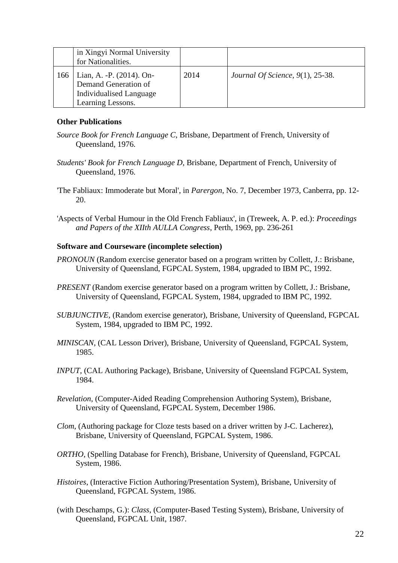|     | in Xingyi Normal University<br>for Nationalities.                                                 |      |                                     |
|-----|---------------------------------------------------------------------------------------------------|------|-------------------------------------|
| 166 | Lian, A. - P. (2014). On-<br>Demand Generation of<br>Individualised Language<br>Learning Lessons. | 2014 | Journal Of Science, $9(1)$ , 25-38. |

### **Other Publications**

- *Source Book for French Language C*, Brisbane, Department of French, University of Queensland, 1976.
- *Students' Book for French Language D*, Brisbane, Department of French, University of Queensland, 1976.
- 'The Fabliaux: Immoderate but Moral', in *Parergon*, No. 7, December 1973, Canberra, pp. 12- 20.
- 'Aspects of Verbal Humour in the Old French Fabliaux', in (Treweek, A. P. ed.): *Proceedings and Papers of the XIIth AULLA Congress*, Perth, 1969, pp. 236-261

### **Software and Courseware (incomplete selection)**

- *PRONOUN* (Random exercise generator based on a program written by Collett, J.: Brisbane, University of Queensland, FGPCAL System, 1984, upgraded to IBM PC, 1992.
- *PRESENT* (Random exercise generator based on a program written by Collett, J.: Brisbane, University of Queensland, FGPCAL System, 1984, upgraded to IBM PC, 1992.
- *SUBJUNCTIVE,* (Random exercise generator), Brisbane, University of Queensland, FGPCAL System, 1984, upgraded to IBM PC, 1992.
- *MINISCAN*, (CAL Lesson Driver), Brisbane, University of Queensland, FGPCAL System, 1985.
- *INPUT*, (CAL Authoring Package), Brisbane, University of Queensland FGPCAL System, 1984.
- *Revelation*, (Computer-Aided Reading Comprehension Authoring System), Brisbane, University of Queensland, FGPCAL System, December 1986.
- *Clom*, (Authoring package for Cloze tests based on a driver written by J-C. Lacherez), Brisbane, University of Queensland, FGPCAL System, 1986.
- *ORTHO*, (Spelling Database for French), Brisbane, University of Queensland, FGPCAL System, 1986.
- *Histoires*, (Interactive Fiction Authoring/Presentation System), Brisbane, University of Queensland, FGPCAL System, 1986.
- (with Deschamps, G.): *Class*, (Computer-Based Testing System), Brisbane, University of Queensland, FGPCAL Unit, 1987.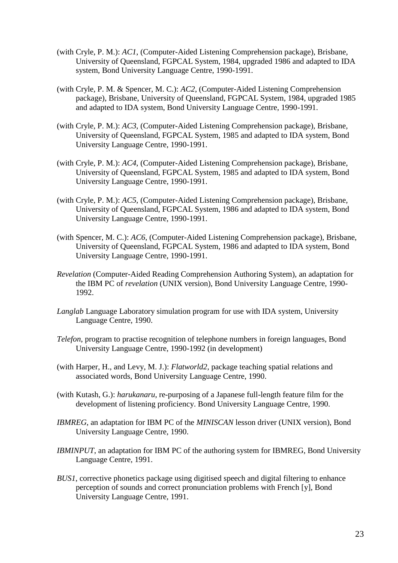- (with Cryle, P. M.): *AC1*, (Computer-Aided Listening Comprehension package), Brisbane, University of Queensland, FGPCAL System, 1984, upgraded 1986 and adapted to IDA system, Bond University Language Centre, 1990-1991.
- (with Cryle, P. M. & Spencer, M. C.): *AC2*, (Computer-Aided Listening Comprehension package), Brisbane, University of Queensland, FGPCAL System, 1984, upgraded 1985 and adapted to IDA system, Bond University Language Centre, 1990-1991.
- (with Cryle, P. M.): *AC3*, (Computer-Aided Listening Comprehension package), Brisbane, University of Queensland, FGPCAL System, 1985 and adapted to IDA system, Bond University Language Centre, 1990-1991.
- (with Cryle, P. M.): *AC4*, (Computer-Aided Listening Comprehension package), Brisbane, University of Queensland, FGPCAL System, 1985 and adapted to IDA system, Bond University Language Centre, 1990-1991.
- (with Cryle, P. M.): *AC5*, (Computer-Aided Listening Comprehension package), Brisbane, University of Queensland, FGPCAL System, 1986 and adapted to IDA system, Bond University Language Centre, 1990-1991.
- (with Spencer, M. C.): *AC6*, (Computer-Aided Listening Comprehension package), Brisbane, University of Queensland, FGPCAL System, 1986 and adapted to IDA system, Bond University Language Centre, 1990-1991.
- *Revelation* (Computer-Aided Reading Comprehension Authoring System), an adaptation for the IBM PC of *revelation* (UNIX version), Bond University Language Centre, 1990- 1992.
- *Langlab* Language Laboratory simulation program for use with IDA system, University Language Centre, 1990.
- *Telefon*, program to practise recognition of telephone numbers in foreign languages, Bond University Language Centre, 1990-1992 (in development)
- (with Harper, H., and Levy, M. J.): *Flatworld2*, package teaching spatial relations and associated words, Bond University Language Centre, 1990.
- (with Kutash, G.): *harukanaru*, re-purposing of a Japanese full-length feature film for the development of listening proficiency. Bond University Language Centre, 1990.
- *IBMREG*, an adaptation for IBM PC of the *MINISCAN* lesson driver (UNIX version), Bond University Language Centre, 1990.
- *IBMINPUT*, an adaptation for IBM PC of the authoring system for IBMREG, Bond University Language Centre, 1991.
- *BUS1*, corrective phonetics package using digitised speech and digital filtering to enhance perception of sounds and correct pronunciation problems with French [y], Bond University Language Centre, 1991.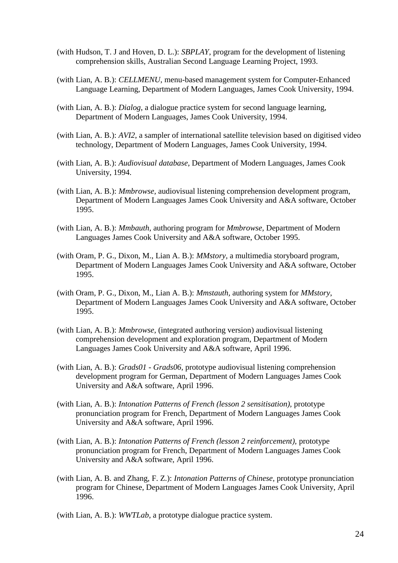- (with Hudson, T. J and Hoven, D. L.): *SBPLAY*, program for the development of listening comprehension skills, Australian Second Language Learning Project, 1993.
- (with Lian, A. B.): *CELLMENU*, menu-based management system for Computer-Enhanced Language Learning, Department of Modern Languages, James Cook University, 1994.
- (with Lian, A. B.): *Dialog*, a dialogue practice system for second language learning, Department of Modern Languages, James Cook University, 1994.
- (with Lian, A. B.): *AVI2*, a sampler of international satellite television based on digitised video technology, Department of Modern Languages, James Cook University, 1994.
- (with Lian, A. B.): *Audiovisual database*, Department of Modern Languages, James Cook University, 1994.
- (with Lian, A. B.): *Mmbrowse,* audiovisual listening comprehension development program, Department of Modern Languages James Cook University and A&A software, October 1995.
- (with Lian, A. B.): *Mmbauth*, authoring program for *Mmbrowse,* Department of Modern Languages James Cook University and A&A software, October 1995.
- (with Oram, P. G., Dixon, M., Lian A. B.): *MMstory,* a multimedia storyboard program, Department of Modern Languages James Cook University and A&A software, October 1995.
- (with Oram, P. G., Dixon, M., Lian A. B.): *Mmstauth,* authoring system for *MMstory*, Department of Modern Languages James Cook University and A&A software, October 1995.
- (with Lian, A. B.): *Mmbrowse,* (integrated authoring version) audiovisual listening comprehension development and exploration program, Department of Modern Languages James Cook University and A&A software, April 1996.
- (with Lian, A. B.): *Grads01 - Grads06,* prototype audiovisual listening comprehension development program for German, Department of Modern Languages James Cook University and A&A software, April 1996.
- (with Lian, A. B.): *Intonation Patterns of French (lesson 2 sensitisation),* prototype pronunciation program for French, Department of Modern Languages James Cook University and A&A software, April 1996.
- (with Lian, A. B.): *Intonation Patterns of French (lesson 2 reinforcement),* prototype pronunciation program for French, Department of Modern Languages James Cook University and A&A software, April 1996.
- (with Lian, A. B. and Zhang, F. Z.): *Intonation Patterns of Chinese,* prototype pronunciation program for Chinese, Department of Modern Languages James Cook University, April 1996.

(with Lian, A. B.): *WWTLab*, a prototype dialogue practice system.